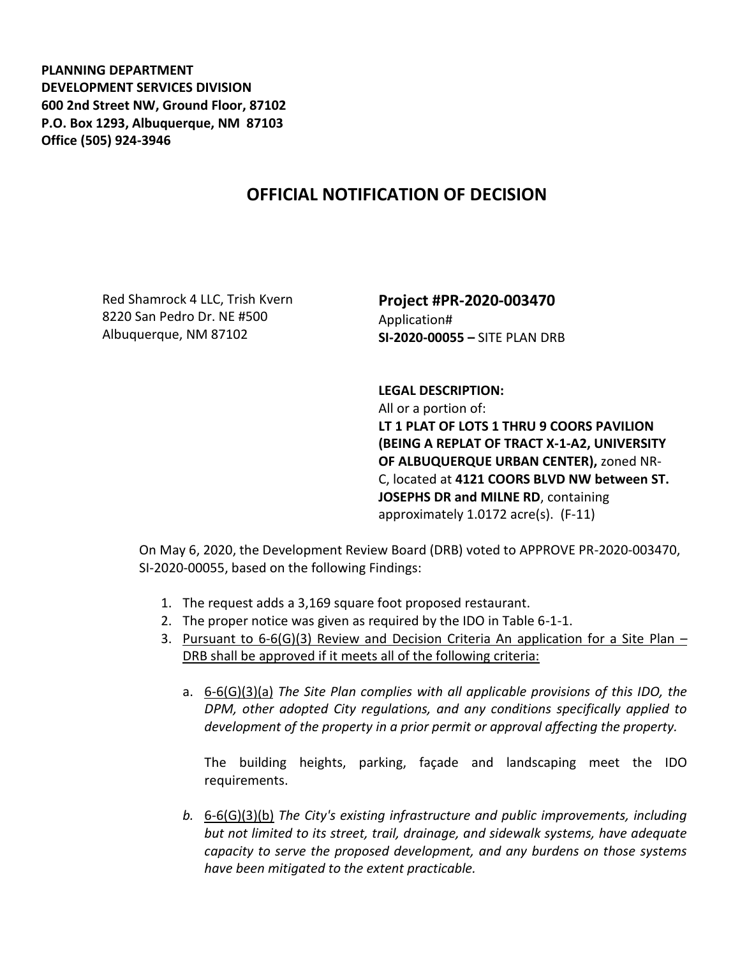**PLANNING DEPARTMENT DEVELOPMENT SERVICES DIVISION 600 2nd Street NW, Ground Floor, 87102 P.O. Box 1293, Albuquerque, NM 87103 Office (505) 924-3946** 

## **OFFICIAL NOTIFICATION OF DECISION**

Red Shamrock 4 LLC, Trish Kvern 8220 San Pedro Dr. NE #500 Albuquerque, NM 87102

**Project #PR-2020-003470** Application# **SI-2020-00055 –** SITE PLAN DRB

## **LEGAL DESCRIPTION:**

All or a portion of: **LT 1 PLAT OF LOTS 1 THRU 9 COORS PAVILION (BEING A REPLAT OF TRACT X-1-A2, UNIVERSITY OF ALBUQUERQUE URBAN CENTER),** zoned NR-C, located at **4121 COORS BLVD NW between ST. JOSEPHS DR and MILNE RD**, containing approximately 1.0172 acre(s). (F-11)

On May 6, 2020, the Development Review Board (DRB) voted to APPROVE PR-2020-003470, SI-2020-00055, based on the following Findings:

- 1. The request adds a 3,169 square foot proposed restaurant.
- 2. The proper notice was given as required by the IDO in Table 6-1-1.
- 3. Pursuant to  $6-6(G)(3)$  Review and Decision Criteria An application for a Site Plan DRB shall be approved if it meets all of the following criteria:
	- a. 6-6(G)(3)(a) *The Site Plan complies with all applicable provisions of this IDO, the DPM, other adopted City regulations, and any conditions specifically applied to development of the property in a prior permit or approval affecting the property.*

The building heights, parking, façade and landscaping meet the IDO requirements.

*b.* 6-6(G)(3)(b) *The City's existing infrastructure and public improvements, including but not limited to its street, trail, drainage, and sidewalk systems, have adequate capacity to serve the proposed development, and any burdens on those systems have been mitigated to the extent practicable.*